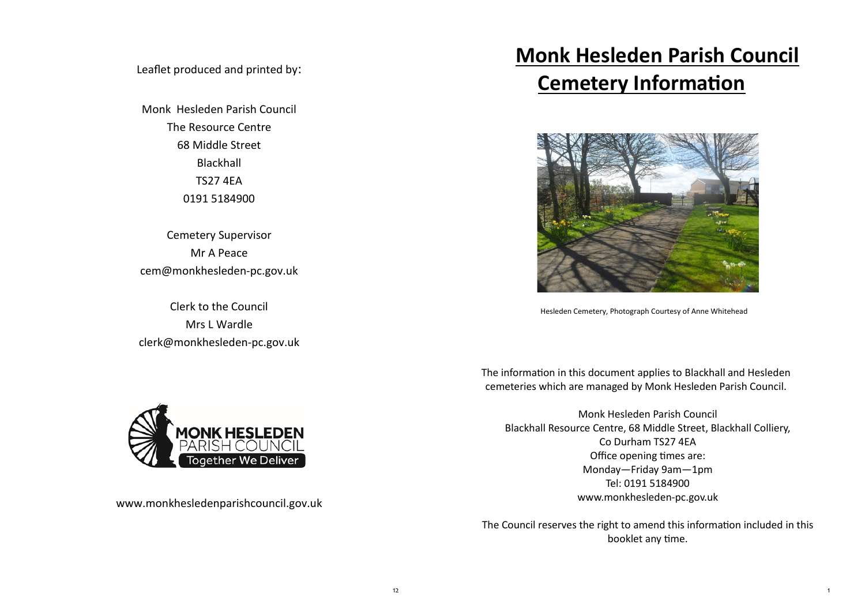Leaflet produced and printed by:

Monk Hesleden Parish Council The Resource Centre 68 Middle Street Blackhall TS27 4EA 0191 5184900

Cemetery Supervisor Mr A Peace cem@monkhesleden-pc.gov.uk

Clerk to the Council Mrs L Wardle clerk@monkhesleden-pc.gov.uk



www.monkhesledenparishcouncil.gov.uk

# **Monk Hesleden Parish Council Cemetery Information**



Hesleden Cemetery, Photograph Courtesy of Anne Whitehead

The information in this document applies to Blackhall and Hesleden cemeteries which are managed by Monk Hesleden Parish Council.

Monk Hesleden Parish Council Blackhall Resource Centre, 68 Middle Street, Blackhall Colliery, Co Durham TS27 4EA Office opening times are: Monday—Friday 9am—1pm Tel: 0191 5184900 www.monkhesleden-pc.gov.uk

The Council reserves the right to amend this information included in this booklet any time.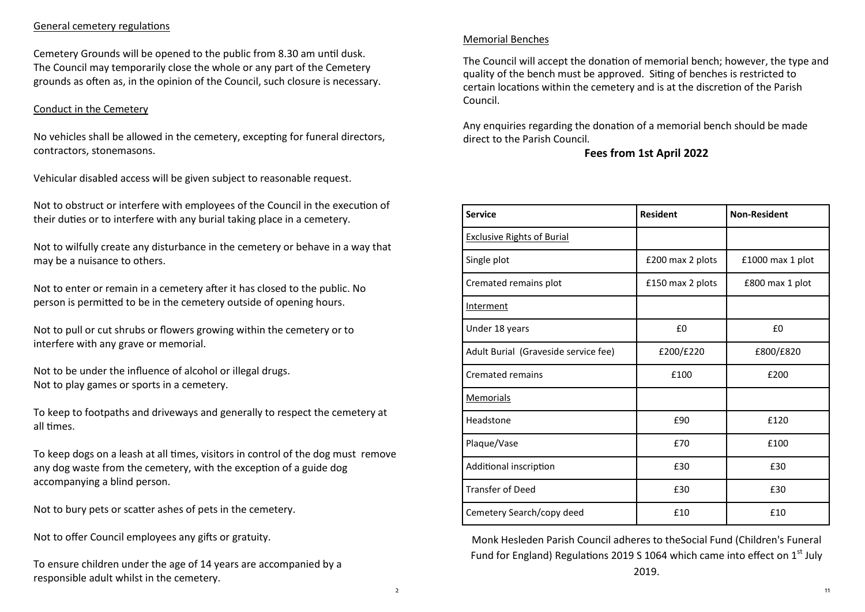## General cemetery regulations

Cemetery Grounds will be opened to the public from 8.30 am until dusk. The Council may temporarily close the whole or any part of the Cemetery grounds as often as, in the opinion of the Council, such closure is necessary.

## Conduct in the Cemetery

No vehicles shall be allowed in the cemetery, excepting for funeral directors, contractors, stonemasons.

Vehicular disabled access will be given subject to reasonable request.

Not to obstruct or interfere with employees of the Council in the execution of their duties or to interfere with any burial taking place in a cemetery.

Not to wilfully create any disturbance in the cemetery or behave in a way that may be a nuisance to others.

Not to enter or remain in a cemetery after it has closed to the public. No person is permitted to be in the cemetery outside of opening hours.

Not to pull or cut shrubs or flowers growing within the cemetery or to interfere with any grave or memorial.

Not to be under the influence of alcohol or illegal drugs. Not to play games or sports in a cemetery.

To keep to footpaths and driveways and generally to respect the cemetery at all times.

To keep dogs on a leash at all times, visitors in control of the dog must remove any dog waste from the cemetery, with the exception of a guide dog accompanying a blind person.

Not to bury pets or scatter ashes of pets in the cemetery.

Not to offer Council employees any gifts or gratuity.

To ensure children under the age of 14 years are accompanied by a responsible adult whilst in the cemetery.

#### Memorial Benches

The Council will accept the donation of memorial bench; however, the type and quality of the bench must be approved. Siting of benches is restricted to certain locations within the cemetery and is at the discretion of the Parish Council.

Any enquiries regarding the donation of a memorial bench should be made direct to the Parish Council.

## **Fees from 1st April 2022**

| <b>Service</b>                       | <b>Resident</b>  | <b>Non-Resident</b> |
|--------------------------------------|------------------|---------------------|
| <b>Exclusive Rights of Burial</b>    |                  |                     |
| Single plot                          | £200 max 2 plots | £1000 max 1 plot    |
| Cremated remains plot                | £150 max 2 plots | £800 max 1 plot     |
| <b>Interment</b>                     |                  |                     |
| Under 18 years                       | £0               | £0                  |
| Adult Burial (Graveside service fee) | £200/£220        | £800/£820           |
| <b>Cremated remains</b>              | £100             | £200                |
| <b>Memorials</b>                     |                  |                     |
| Headstone                            | £90              | £120                |
| Plaque/Vase                          | £70              | £100                |
| Additional inscription               | £30              | £30                 |
| <b>Transfer of Deed</b>              | £30              | £30                 |
| Cemetery Search/copy deed            | £10              | £10                 |

Monk Hesleden Parish Council adheres to theSocial Fund (Children's Funeral Fund for England) Regulations 2019 S 1064 which came into effect on  $1<sup>st</sup>$  July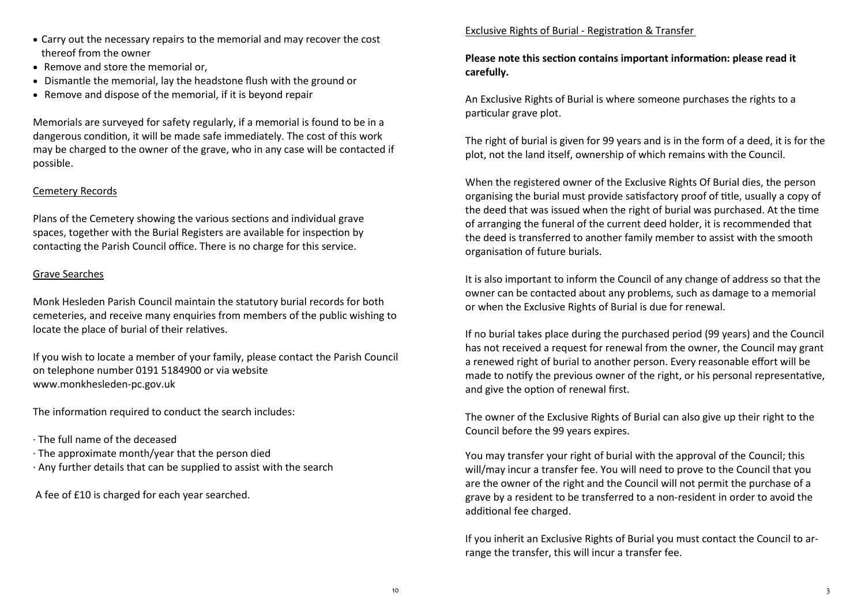- Carry out the necessary repairs to the memorial and may recover the cost thereof from the owner
- Remove and store the memorial or,
- Dismantle the memorial, lay the headstone flush with the ground or
- Remove and dispose of the memorial, if it is beyond repair

Memorials are surveyed for safety regularly, if a memorial is found to be in a dangerous condition, it will be made safe immediately. The cost of this work may be charged to the owner of the grave, who in any case will be contacted if possible.

# Cemetery Records

Plans of the Cemetery showing the various sections and individual grave spaces, together with the Burial Registers are available for inspection by contacting the Parish Council office. There is no charge for this service.

## Grave Searches

Monk Hesleden Parish Council maintain the statutory burial records for both cemeteries, and receive many enquiries from members of the public wishing to locate the place of burial of their relatives.

If you wish to locate a member of your family, please contact the Parish Council on telephone number 0191 5184900 or via website www.monkhesleden-pc.gov.uk

The information required to conduct the search includes:

- · The full name of the deceased
- · The approximate month/year that the person died
- · Any further details that can be supplied to assist with the search

A fee of £10 is charged for each year searched.

## Exclusive Rights of Burial - Registration & Transfer

## **Please note this section contains important information: please read it carefully.**

An Exclusive Rights of Burial is where someone purchases the rights to a particular grave plot.

The right of burial is given for 99 years and is in the form of a deed, it is for the plot, not the land itself, ownership of which remains with the Council.

When the registered owner of the Exclusive Rights Of Burial dies, the person organising the burial must provide satisfactory proof of title, usually a copy of the deed that was issued when the right of burial was purchased. At the time of arranging the funeral of the current deed holder, it is recommended that the deed is transferred to another family member to assist with the smooth organisation of future burials.

It is also important to inform the Council of any change of address so that the owner can be contacted about any problems, such as damage to a memorial or when the Exclusive Rights of Burial is due for renewal.

If no burial takes place during the purchased period (99 years) and the Council has not received a request for renewal from the owner, the Council may grant a renewed right of burial to another person. Every reasonable effort will be made to notify the previous owner of the right, or his personal representative, and give the option of renewal first.

The owner of the Exclusive Rights of Burial can also give up their right to the Council before the 99 years expires.

You may transfer your right of burial with the approval of the Council; this will/may incur a transfer fee. You will need to prove to the Council that you are the owner of the right and the Council will not permit the purchase of a grave by a resident to be transferred to a non-resident in order to avoid the additional fee charged.

If you inherit an Exclusive Rights of Burial you must contact the Council to arrange the transfer, this will incur a transfer fee.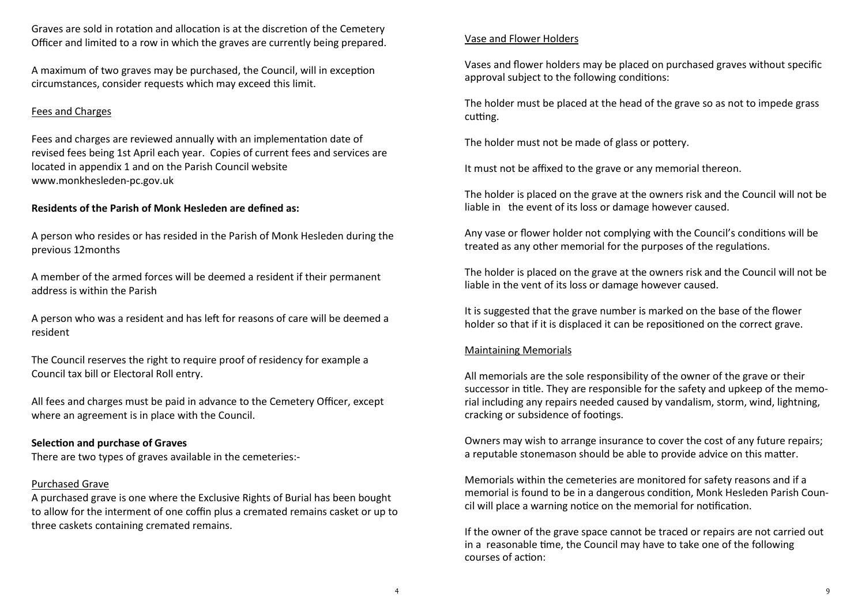Graves are sold in rotation and allocation is at the discretion of the Cemetery Officer and limited to a row in which the graves are currently being prepared.

A maximum of two graves may be purchased, the Council, will in exception circumstances, consider requests which may exceed this limit.

## Fees and Charges

Fees and charges are reviewed annually with an implementation date of revised fees being 1st April each year. Copies of current fees and services are located in appendix 1 and on the Parish Council website www.monkhesleden-pc.gov.uk

## **Residents of the Parish of Monk Hesleden are defined as:**

A person who resides or has resided in the Parish of Monk Hesleden during the previous 12months

A member of the armed forces will be deemed a resident if their permanent address is within the Parish

A person who was a resident and has left for reasons of care will be deemed a resident

The Council reserves the right to require proof of residency for example a Council tax bill or Electoral Roll entry.

All fees and charges must be paid in advance to the Cemetery Officer, except where an agreement is in place with the Council.

## **Selection and purchase of Graves**

There are two types of graves available in the cemeteries:-

## Purchased Grave

A purchased grave is one where the Exclusive Rights of Burial has been bought to allow for the interment of one coffin plus a cremated remains casket or up to three caskets containing cremated remains.

## Vase and Flower Holders

Vases and flower holders may be placed on purchased graves without specific approval subject to the following conditions:

The holder must be placed at the head of the grave so as not to impede grass cutting.

The holder must not be made of glass or pottery.

It must not be affixed to the grave or any memorial thereon.

The holder is placed on the grave at the owners risk and the Council will not be liable in the event of its loss or damage however caused.

Any vase or flower holder not complying with the Council's conditions will be treated as any other memorial for the purposes of the regulations.

The holder is placed on the grave at the owners risk and the Council will not be liable in the vent of its loss or damage however caused.

It is suggested that the grave number is marked on the base of the flower holder so that if it is displaced it can be repositioned on the correct grave.

## Maintaining Memorials

All memorials are the sole responsibility of the owner of the grave or their successor in title. They are responsible for the safety and upkeep of the memorial including any repairs needed caused by vandalism, storm, wind, lightning, cracking or subsidence of footings.

Owners may wish to arrange insurance to cover the cost of any future repairs; a reputable stonemason should be able to provide advice on this matter.

Memorials within the cemeteries are monitored for safety reasons and if a memorial is found to be in a dangerous condition, Monk Hesleden Parish Council will place a warning notice on the memorial for notification.

If the owner of the grave space cannot be traced or repairs are not carried out in a reasonable time, the Council may have to take one of the following courses of action: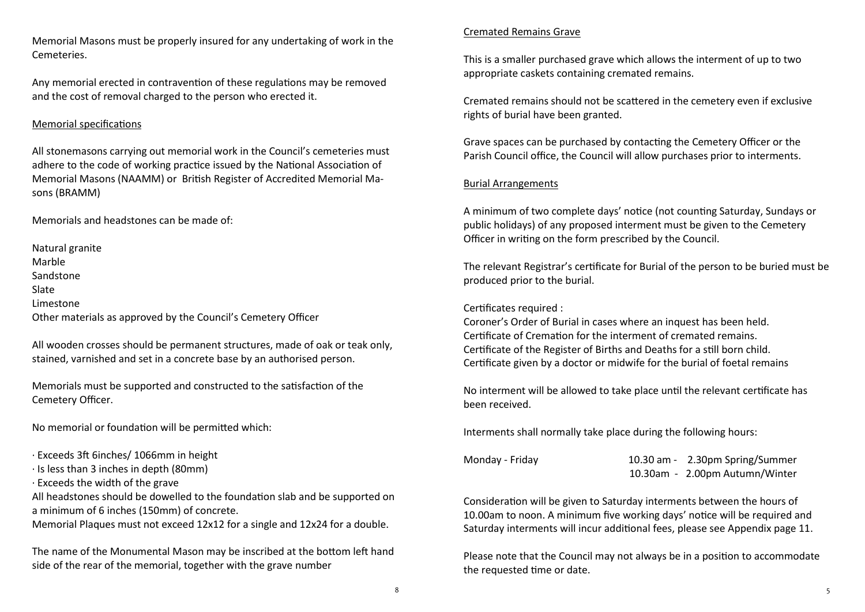Memorial Masons must be properly insured for any undertaking of work in the Cemeteries.

Any memorial erected in contravention of these regulations may be removed and the cost of removal charged to the person who erected it.

## Memorial specifications

All stonemasons carrying out memorial work in the Council's cemeteries must adhere to the code of working practice issued by the National Association of Memorial Masons (NAAMM) or British Register of Accredited Memorial Masons (BRAMM)

Memorials and headstones can be made of:

Natural granite Marble Sandstone Slate Limestone Other materials as approved by the Council's Cemetery Officer

All wooden crosses should be permanent structures, made of oak or teak only, stained, varnished and set in a concrete base by an authorised person.

Memorials must be supported and constructed to the satisfaction of the Cemetery Officer.

No memorial or foundation will be permitted which:

- · Exceeds 3ft 6inches/ 1066mm in height
- · Is less than 3 inches in depth (80mm)
- · Exceeds the width of the grave

All headstones should be dowelled to the foundation slab and be supported on a minimum of 6 inches (150mm) of concrete.

Memorial Plaques must not exceed 12x12 for a single and 12x24 for a double.

The name of the Monumental Mason may be inscribed at the bottom left hand side of the rear of the memorial, together with the grave number

## Cremated Remains Grave

This is a smaller purchased grave which allows the interment of up to two appropriate caskets containing cremated remains.

Cremated remains should not be scattered in the cemetery even if exclusive rights of burial have been granted.

Grave spaces can be purchased by contacting the Cemetery Officer or the Parish Council office, the Council will allow purchases prior to interments.

## Burial Arrangements

A minimum of two complete days' notice (not counting Saturday, Sundays or public holidays) of any proposed interment must be given to the Cemetery Officer in writing on the form prescribed by the Council.

The relevant Registrar's certificate for Burial of the person to be buried must be produced prior to the burial.

## Certificates required :

Coroner's Order of Burial in cases where an inquest has been held. Certificate of Cremation for the interment of cremated remains. Certificate of the Register of Births and Deaths for a still born child. Certificate given by a doctor or midwife for the burial of foetal remains

No interment will be allowed to take place until the relevant certificate has been received.

Interments shall normally take place during the following hours:

| Monday - Friday | 10.30 am - 2.30pm Spring/Summer |
|-----------------|---------------------------------|
|                 | 10.30am - 2.00pm Autumn/Winter  |

Consideration will be given to Saturday interments between the hours of 10.00am to noon. A minimum five working days' notice will be required and Saturday interments will incur additional fees, please see Appendix page 11.

Please note that the Council may not always be in a position to accommodate the requested time or date.